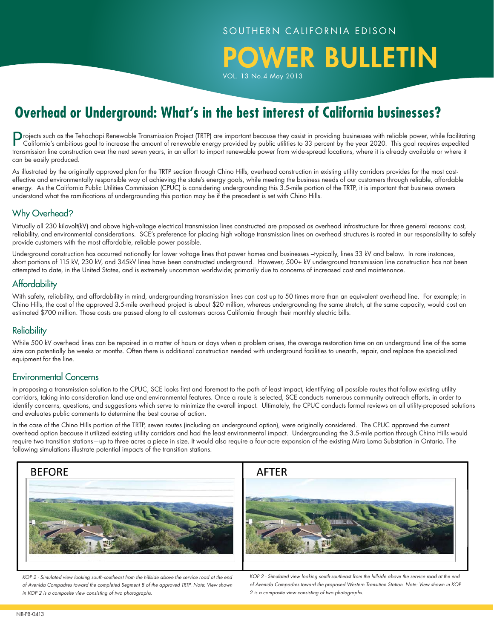POWER BULLETIN

VOL. 13 No.4 May 2013

# **Overhead or Underground: What's in the best interest of California businesses?**

Projects such as the Tehachapi Renewable Transmission Project (TRTP) are important because they assist in providing businesses with reliable power, while facilitating California's ambitious goal to increase the amount of renewable energy provided by public utilities to 33 percent by the year 2020. This goal requires expedited transmission line construction over the next seven years, in an effort to import renewable power from wide-spread locations, where it is already available or where it can be easily produced.

As illustrated by the originally approved plan for the TRTP section through Chino Hills, overhead construction in existing utility corridors provides for the most costeffective and environmentally responsible way of achieving the state's energy goals, while meeting the business needs of our customers through reliable, affordable energy. As the California Public Utilities Commission (CPUC) is considering undergrounding this 3.5-mile portion of the TRTP, it is important that business owners understand what the ramifications of undergrounding this portion may be if the precedent is set with Chino Hills.

### Why Overhead?

Virtually all 230 kilovolt(kV) and above high-voltage electrical transmission lines constructed are proposed as overhead infrastructure for three general reasons: cost, reliability, and environmental considerations. SCE's preference for placing high voltage transmission lines on overhead structures is rooted in our responsibility to safely provide customers with the most affordable, reliable power possible.

Underground construction has occurred nationally for lower voltage lines that power homes and businesses –typically, lines 33 kV and below. In rare instances, short portions of 115 kV, 230 kV, and 345kV lines have been constructed underground. However, 500+ kV underground transmission line construction has not been attempted to date, in the United States, and is extremely uncommon worldwide; primarily due to concerns of increased cost and maintenance.

# **Affordability**

With safety, reliability, and affordability in mind, undergrounding transmission lines can cost up to 50 times more than an equivalent overhead line. For example; in Chino Hills, the cost of the approved 3.5-mile overhead project is about \$20 million, whereas undergrounding the same stretch, at the same capacity, would cost an estimated \$700 million. Those costs are passed along to all customers across California through their monthly electric bills.

# **Reliability**

While 500 kV overhead lines can be repaired in a matter of hours or days when a problem arises, the average restoration time on an underground line of the same size can potentially be weeks or months. Often there is additional construction needed with underground facilities to unearth, repair, and replace the specialized equipment for the line.

# Environmental Concerns

In proposing a transmission solution to the CPUC, SCE looks first and foremost to the path of least impact, identifying all possible routes that follow existing utility corridors, taking into consideration land use and environmental features. Once a route is selected, SCE conducts numerous community outreach efforts, in order to identify concerns, questions, and suggestions which serve to minimize the overall impact. Ultimately, the CPUC conducts formal reviews on all utility-proposed solutions and evaluates public comments to determine the best course of action.

In the case of the Chino Hills portion of the TRTP, seven routes (including an underground option), were originally considered. The CPUC approved the current overhead option because it utilized existing utility corridors and had the least environmental impact. Undergrounding the 3.5-mile portion through Chino Hills would require two transition stations—up to three acres a piece in size. It would also require a four-acre expansion of the existing Mira Loma Substation in Ontario. The following simulations illustrate potential impacts of the transition stations.



*KOP 2 - Simulated view looking south-southeast from the hillside above the service road at the end of Avenida Compadres toward the completed Segment 8 of the approved TRTP. Note: View shown in KOP 2 is a composite view consisting of two photographs.*

*KOP 2 - Simulated view looking south-southeast from the hillside above the service road at the end of Avenida Compadres toward the proposed Western Transition Station. Note: View shown in KOP 2 is a composite view consisting of two photographs.*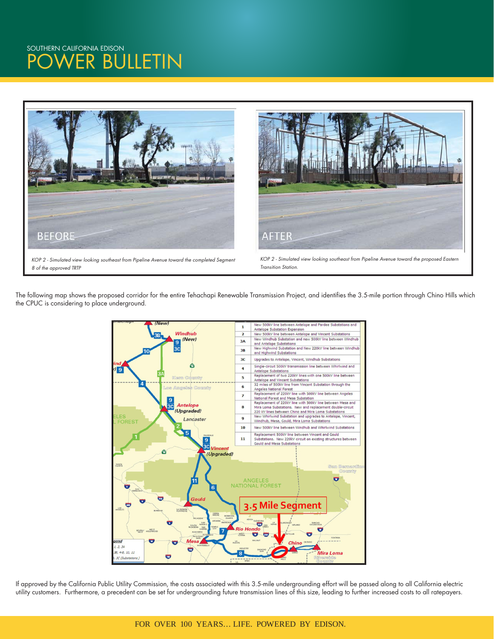

*8 of the approved TRTP*

*KOP 2 - Simulated view looking southeast from Pipeline Avenue toward the proposed Eastern Transition Station.*

The following map shows the proposed corridor for the entire Tehachapi Renewable Transmission Project, and identifies the 3.5-mile portion through Chino Hills which the CPUC is considering to place underground.



If approved by the California Public Utility Commission, the costs associated with this 3.5-mile undergrounding effort will be passed along to all California electric utility customers. Furthermore, a precedent can be set for undergrounding future transmission lines of this size, leading to further increased costs to all ratepayers.